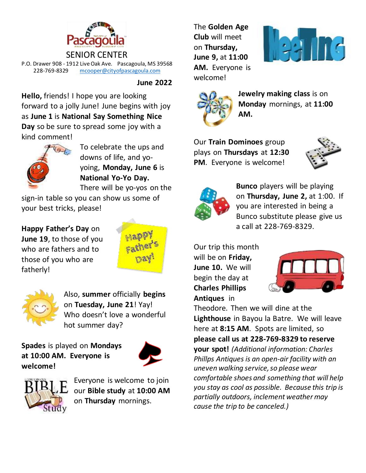

SENIOR CENTER P.O. Drawer 908 - 1912 Live Oak Ave. Pascagoula, MS 39568 228-769-8329 [mcooper@cityofpascagoula.com](mailto:mcooper@cityofpascagoula.com)

**June 2022**

**Hello,** friends! I hope you are looking forward to a jolly June! June begins with joy as **June 1** is **National Say Something Nice Day** so be sure to spread some joy with a kind comment!



To celebrate the ups and downs of life, and yoyoing, **Monday, June 6** is **National Yo-Yo Day.**  There will be yo-yos on the

sign-in table so you can show us some of your best tricks, please!

**Happy Father's Day** on **June 19**, to those of you who are fathers and to those of you who are fatherly!





Also, **summer** officially **begins** on **Tuesday, June 21**! Yay! Who doesn't love a wonderful hot summer day?

**Spades** is played on **Mondays at 10:00 AM. Everyone is welcome!** 





Everyone is welcome to join our **Bible study** at **10:00 AM** on **Thursday** mornings.

The **Golden Age Club** will meet on **Thursday, June 9,** at **11:00 AM.** Everyone is welcome!





**Jewelry making class** is on **Monday** mornings, at **11:00 AM.**

Our **Train Dominoes** group plays on **Thursdays** at **12:30 PM**. Everyone is welcome!





**Bunco** players will be playing on **Thursday, June 2,** at 1:00. If you are interested in being a Bunco substitute please give us a call at 228-769-8329.

Our trip this month will be on **Friday, June 10.** We will begin the day at **Charles Phillips Antiques** in



Theodore. Then we will dine at the **Lighthouse** in Bayou la Batre.We will leave here at **8:15 AM**. Spots are limited, so **please call us at 228-769-8329 to reserve your spot!** *(Additional information: Charles Phillps Antiques is an open-air facility with an uneven walking service, so please wear comfortable shoes and something that will help you stay as cool as possible. Because this trip is partially outdoors, inclement weather may cause the trip to be canceled.)*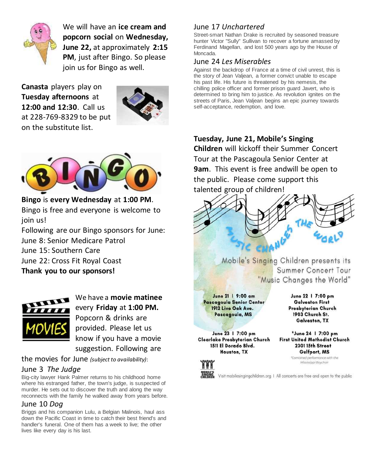

We will have an **ice cream and popcorn social** on **Wednesday, June 22,** at approximately **2:15 PM**, just after Bingo. So please join us for Bingo as well.

**Canasta** players play on **Tuesday afternoons** at **12:00 and 12:30**. Call us at 228-769-8329 to be put on the substitute list.





**Bingo** is **every Wednesday** at **1:00 PM**. Bingo is free and everyone is welcome to join us!

Following are our Bingo sponsors for June: June 8: Senior Medicare Patrol June 15: Southern Care June 22: Cross Fit Royal Coast **Thank you to our sponsors!** 



We have a **movie matinee**  every **Friday** at **1:00 PM.** Popcorn & drinks are provided. Please let us know if you have a movie suggestion. Following are

the movies for June *(subject to availability)*:

## June 3 *The Judge*

Big-city lawyer Hank Palmer returns to his childhood home where his estranged father, the town's judge, is suspected of murder. He sets out to discover the truth and along the way reconnects with the family he walked away from years before.

## June 10 *Dog*

Briggs and his companion Lulu, a Belgian Malinois, haul ass down the Pacific Coast in time to catch their best friend's and handler's funeral. One of them has a week to live; the other lives like every day is his last.

# June 17 *Unchartered*

Street-smart Nathan Drake is recruited by seasoned treasure hunter Victor "Sully" Sullivan to recover a fortune amassed by Ferdinand Magellan, and lost 500 years ago by the House of Moncada.

#### June 24 *Les Miserables*

Against the backdrop of France at a time of civil unrest, this is the story of Jean Valjean, a former convict unable to escape his past life. His future is threatened by his nemesis, the chilling police officer and former prison guard Javert, who is determined to bring him to justice. As revolution ignites on the streets of Paris, Jean Valjean begins an epic journey towards self-acceptance, redemption, and love.

# **Tuesday, June 21, Mobile's Singing**

**Children** will kickoff their Summer Concert Tour at the Pascagoula Senior Center at **9am**. This event is free andwill be open to the public. Please come support this talented group of children!



Mobile's Singing Children presents its Summer Concert Tour "Music Changes the World"

June 21 | 9:00 am Pascagoula Senior Center 1912 Live Oak Ave. Pascagoula, MS

June 23 | 7:00 pm Clearlake Presbyterian Church 1511 El Dorado Blvd. Houston, TX

June 22 | 7:00 pm **Galveston First** Presbyterian Church 1903 Church St. Galveston, TX

\*June 24 | 7:00 pm **First United Methodist Church** 2301 15th Street Gulfport, MS

\*Combined performance with the Mississippi Boychoir



Visit mobilesingingchildren.org | All concerts are free and open to the public